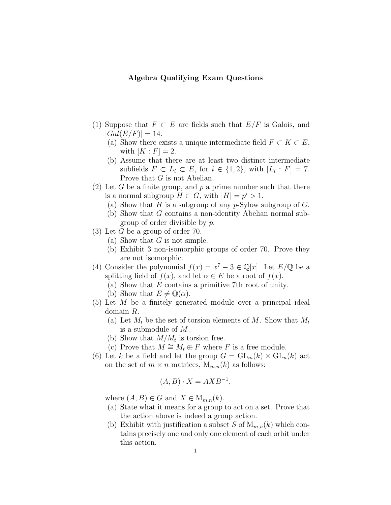## Algebra Qualifying Exam Questions

- (1) Suppose that  $F \subset E$  are fields such that  $E/F$  is Galois, and  $|Gal(E/F)| = 14.$ 
	- (a) Show there exists a unique intermediate field  $F \subset K \subset E$ , with  $[K : F] = 2$ .
	- (b) Assume that there are at least two distinct intermediate subfields  $F \subset L_i \subset E$ , for  $i \in \{1,2\}$ , with  $[L_i : F] = 7$ . Prove that G is not Abelian.
- (2) Let G be a finite group, and  $p$  a prime number such that there is a normal subgroup  $H \subset G$ , with  $|H| = p^i > 1$ .
	- (a) Show that H is a subgroup of any  $p\text{-Sylow subgroup of } G$ .
	- (b) Show that G contains a non-identity Abelian normal subgroup of order divisible by p.
- $(3)$  Let G be a group of order 70.
	- (a) Show that  $G$  is not simple.
	- (b) Exhibit 3 non-isomorphic groups of order 70. Prove they are not isomorphic.
- (4) Consider the polynomial  $f(x) = x^7 3 \in \mathbb{Q}[x]$ . Let  $E/\mathbb{Q}$  be a splitting field of  $f(x)$ , and let  $\alpha \in E$  be a root of  $f(x)$ .
	- (a) Show that E contains a primitive 7th root of unity.
	- (b) Show that  $E \neq \mathbb{Q}(\alpha)$ .
- (5) Let M be a finitely generated module over a principal ideal domain R.
	- (a) Let  $M_t$  be the set of torsion elements of M. Show that  $M_t$ is a submodule of M.
	- (b) Show that  $M/M_t$  is torsion free.
	- (c) Prove that  $M \cong M_t \oplus F$  where F is a free module.
- (6) Let k be a field and let the group  $G = GL_m(k) \times GL_n(k)$  act on the set of  $m \times n$  matrices,  $M_{m,n}(k)$  as follows:

$$
(A, B) \cdot X = AXB^{-1},
$$

where  $(A, B) \in G$  and  $X \in M_{m,n}(k)$ .

- (a) State what it means for a group to act on a set. Prove that the action above is indeed a group action.
- (b) Exhibit with justification a subset S of  $M_{m,n}(k)$  which contains precisely one and only one element of each orbit under this action.